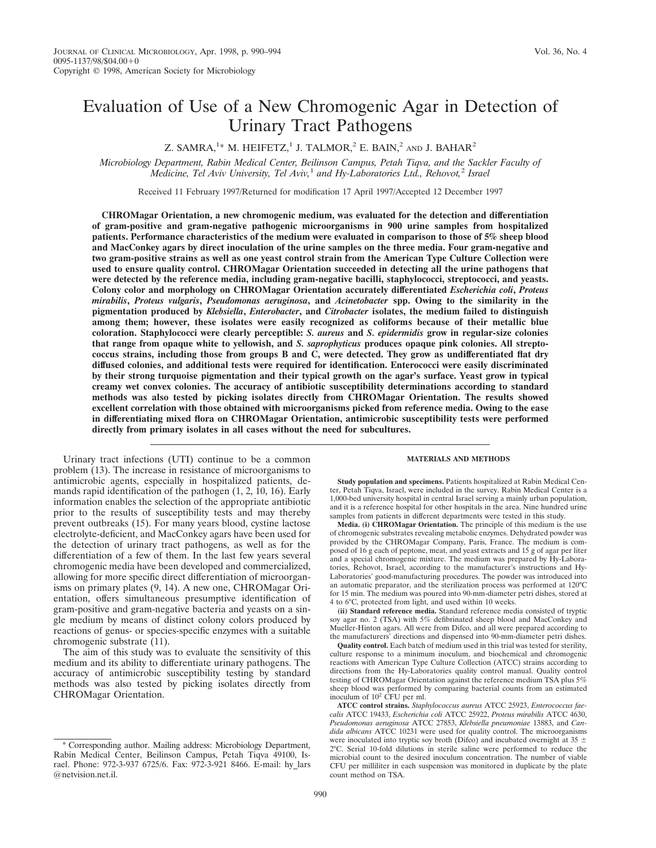# Evaluation of Use of a New Chromogenic Agar in Detection of Urinary Tract Pathogens

## Z. SAMRA,<sup>1\*</sup> M. HEIFETZ,<sup>1</sup> J. TALMOR,<sup>2</sup> E. BAIN,<sup>2</sup> and J. BAHAR<sup>2</sup>

*Microbiology Department, Rabin Medical Center, Beilinson Campus, Petah Tiqva, and the Sackler Faculty of Medicine, Tel Aviv University, Tel Aviv,*<sup>1</sup> *and Hy-Laboratories Ltd., Rehovot,*<sup>2</sup> *Israel*

Received 11 February 1997/Returned for modification 17 April 1997/Accepted 12 December 1997

**CHROMagar Orientation, a new chromogenic medium, was evaluated for the detection and differentiation of gram-positive and gram-negative pathogenic microorganisms in 900 urine samples from hospitalized patients. Performance characteristics of the medium were evaluated in comparison to those of 5% sheep blood and MacConkey agars by direct inoculation of the urine samples on the three media. Four gram-negative and two gram-positive strains as well as one yeast control strain from the American Type Culture Collection were used to ensure quality control. CHROMagar Orientation succeeded in detecting all the urine pathogens that were detected by the reference media, including gram-negative bacilli, staphylococci, streptococci, and yeasts. Colony color and morphology on CHROMagar Orientation accurately differentiated** *Escherichia coli***,** *Proteus mirabilis***,** *Proteus vulgaris***,** *Pseudomonas aeruginosa***, and** *Acinetobacter* **spp. Owing to the similarity in the pigmentation produced by** *Klebsiella***,** *Enterobacter***, and** *Citrobacter* **isolates, the medium failed to distinguish among them; however, these isolates were easily recognized as coliforms because of their metallic blue coloration. Staphylococci were clearly perceptible:** *S. aureus* **and** *S. epidermidis* **grow in regular-size colonies that range from opaque white to yellowish, and** *S. saprophyticus* **produces opaque pink colonies. All streptococcus strains, including those from groups B and C, were detected. They grow as undifferentiated flat dry diffused colonies, and additional tests were required for identification. Enterococci were easily discriminated by their strong turquoise pigmentation and their typical growth on the agar's surface. Yeast grow in typical creamy wet convex colonies. The accuracy of antibiotic susceptibility determinations according to standard methods was also tested by picking isolates directly from CHROMagar Orientation. The results showed excellent correlation with those obtained with microorganisms picked from reference media. Owing to the ease in differentiating mixed flora on CHROMagar Orientation, antimicrobic susceptibility tests were performed directly from primary isolates in all cases without the need for subcultures.**

Urinary tract infections (UTI) continue to be a common problem (13). The increase in resistance of microorganisms to antimicrobic agents, especially in hospitalized patients, demands rapid identification of the pathogen (1, 2, 10, 16). Early information enables the selection of the appropriate antibiotic prior to the results of susceptibility tests and may thereby prevent outbreaks (15). For many years blood, cystine lactose electrolyte-deficient, and MacConkey agars have been used for the detection of urinary tract pathogens, as well as for the differentiation of a few of them. In the last few years several chromogenic media have been developed and commercialized, allowing for more specific direct differentiation of microorganisms on primary plates (9, 14). A new one, CHROMagar Orientation, offers simultaneous presumptive identification of gram-positive and gram-negative bacteria and yeasts on a single medium by means of distinct colony colors produced by reactions of genus- or species-specific enzymes with a suitable chromogenic substrate (11).

The aim of this study was to evaluate the sensitivity of this medium and its ability to differentiate urinary pathogens. The accuracy of antimicrobic susceptibility testing by standard methods was also tested by picking isolates directly from CHROMagar Orientation.

**Study population and specimens.** Patients hospitalized at Rabin Medical Center, Petah Tiqva, Israel, were included in the survey. Rabin Medical Center is a 1,000-bed university hospital in central Israel serving a mainly urban population, and it is a reference hospital for other hospitals in the area. Nine hundred urine samples from patients in different departments were tested in this study.

**MATERIALS AND METHODS**

**Media. (i) CHROMagar Orientation.** The principle of this medium is the use of chromogenic substrates revealing metabolic enzymes. Dehydrated powder was provided by the CHROMagar Company, Paris, France. The medium is composed of 16 g each of peptone, meat, and yeast extracts and 15 g of agar per liter and a special chromogenic mixture. The medium was prepared by Hy-Laboratories, Rehovot, Israel, according to the manufacturer's instructions and Hy-Laboratories' good-manufacturing procedures. The powder was introduced into an automatic preparator, and the sterilization process was performed at 120°C for 15 min. The medium was poured into 90-mm-diameter petri dishes, stored at 4 to 6°C, protected from light, and used within 10 weeks.

**(ii) Standard reference media.** Standard reference media consisted of tryptic soy agar no. 2 (TSA) with 5% defibrinated sheep blood and MacConkey and Mueller-Hinton agars. All were from Difco, and all were prepared according to the manufacturers' directions and dispensed into 90-mm-diameter petri dishes.

**Quality control.** Each batch of medium used in this trial was tested for sterility, culture response to a minimum inoculum, and biochemical and chromogenic reactions with American Type Culture Collection (ATCC) strains according to directions from the Hy-Laboratories quality control manual. Quality control testing of CHROMagar Orientation against the reference medium TSA plus 5% sheep blood was performed by comparing bacterial counts from an estimated inoculum of  $10^2$  CFU per ml.

<sup>\*</sup> Corresponding author. Mailing address: Microbiology Department, Rabin Medical Center, Beilinson Campus, Petah Tiqva 49100, Israel. Phone: 972-3-937 6725/6. Fax: 972-3-921 8466. E-mail: hy\_lars @netvision.net.il.

**ATCC control strains.** *Staphylococcus aureus* ATCC 25923, *Enterococcus faecalis* ATCC 19433, *Escherichia coli* ATCC 25922, *Proteus mirabilis* ATCC 4630, *Pseudomonas aeruginosa* ATCC 27853, *Klebsiella pneumoniae* 13883, and *Candida albicans* ATCC 10231 were used for quality control. The microorganisms were inoculated into tryptic soy broth (Difco) and incubated overnight at 35  $\pm$ 2°C. Serial 10-fold dilutions in sterile saline were performed to reduce the microbial count to the desired inoculum concentration. The number of viable CFU per milliliter in each suspension was monitored in duplicate by the plate count method on TSA.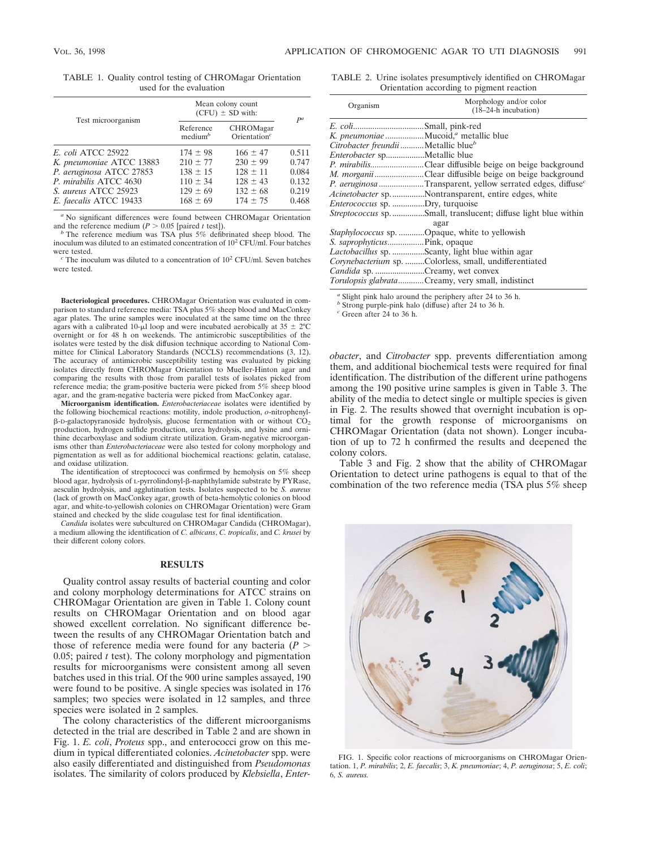| TABLE 1. Quality control testing of CHROMagar Orientation |  |
|-----------------------------------------------------------|--|
| used for the evaluation                                   |  |

|                           | Mean colony count<br>$(CFU) \pm SD$ with: | $P^a$                                                 |       |
|---------------------------|-------------------------------------------|-------------------------------------------------------|-------|
| Test microorganism        | Reference<br>median <sup>b</sup>          | CHROMagar<br>$O$ rientation <sup><math>c</math></sup> |       |
| <i>E. coli ATCC 25922</i> | $174 \pm 98$                              | $166 \pm 47$                                          | 0.511 |
| K. pneumoniae ATCC 13883  | $210 \pm 77$                              | $230 \pm 99$                                          | 0.747 |
| P. aeruginosa ATCC 27853  | $138 \pm 15$                              | $128 \pm 11$                                          | 0.084 |
| P. mirabilis ATCC 4630    | $110 \pm 34$                              | $128 \pm 43$                                          | 0.132 |
| S. aureus ATCC 25923      | $129 \pm 69$                              | $132 \pm 68$                                          | 0.219 |
| E. faecalis ATCC 19433    | $168 \pm 69$                              | $174 \pm 75$                                          | 0.468 |

<sup>*a*</sup> No significant differences were found between CHROMagar Orientation and the reference medium ( $P > 0.05$  [paired *t* test]).

<sup>*b*</sup> The reference medium was TSA plus 5% defibrinated sheep blood. The inoculum was diluted to an estimated concentration of 10<sup>2</sup> CFU/ml. Four batches

 $c$  The inoculum was diluted to a concentration of  $10^2$  CFU/ml. Seven batches were tested.

**Bacteriological procedures.** CHROMagar Orientation was evaluated in comparison to standard reference media: TSA plus 5% sheep blood and MacConkey agar plates. The urine samples were inoculated at the same time on the three agars with a calibrated 10- $\mu$ l loop and were incubated aerobically at 35  $\pm$  2°C overnight or for 48 h on weekends. The antimicrobic susceptibilities of the isolates were tested by the disk diffusion technique according to National Committee for Clinical Laboratory Standards (NCCLS) recommendations (3, 12). The accuracy of antimicrobic susceptibility testing was evaluated by picking isolates directly from CHROMagar Orientation to Mueller-Hinton agar and comparing the results with those from parallel tests of isolates picked from reference media; the gram-positive bacteria were picked from 5% sheep blood agar, and the gram-negative bacteria were picked from MacConkey agar.

**Microorganism identification.** *Enterobacteriaceae* isolates were identified by the following biochemical reactions: motility, indole production, *o*-nitrophenyl- $\beta$ -D-galactopyranoside hydrolysis, glucose fermentation with or without  $CO<sub>2</sub>$ production, hydrogen sulfide production, urea hydrolysis, and lysine and ornithine decarboxylase and sodium citrate utilization. Gram-negative microorganisms other than *Enterobacteriaceae* were also tested for colony morphology and pigmentation as well as for additional biochemical reactions: gelatin, catalase, and oxidase utilization.

The identification of streptococci was confirmed by hemolysis on 5% sheep blood agar, hydrolysis of L-pyrrolindonyl- $\beta$ -naphthylamide substrate by PYRase, aesculin hydrolysis, and agglutination tests. Isolates suspected to be *S. aureus* (lack of growth on MacConkey agar, growth of beta-hemolytic colonies on blood agar, and white-to-yellowish colonies on CHROMagar Orientation) were Gram stained and checked by the slide coagulase test for final identification.

*Candida* isolates were subcultured on CHROMagar Candida (CHROMagar), a medium allowing the identification of *C. albicans*, *C. tropicalis*, and *C. krusei* by their different colony colors.

### **RESULTS**

Quality control assay results of bacterial counting and color and colony morphology determinations for ATCC strains on CHROMagar Orientation are given in Table 1. Colony count results on CHROMagar Orientation and on blood agar showed excellent correlation. No significant difference between the results of any CHROMagar Orientation batch and those of reference media were found for any bacteria  $(P >$ 0.05; paired  $t$  test). The colony morphology and pigmentation results for microorganisms were consistent among all seven batches used in this trial. Of the 900 urine samples assayed, 190 were found to be positive. A single species was isolated in 176 samples; two species were isolated in 12 samples, and three species were isolated in 2 samples.

The colony characteristics of the different microorganisms detected in the trial are described in Table 2 and are shown in Fig. 1. *E. coli*, *Proteus* spp., and enterococci grow on this medium in typical differentiated colonies. *Acinetobacter* spp. were also easily differentiated and distinguished from *Pseudomonas* isolates. The similarity of colors produced by *Klebsiella*, *Enter-*

TABLE 2. Urine isolates presumptively identified on CHROMagar Orientation according to pigment reaction

| Organism                                         | Morphology and/or color<br>$(18-24-h)$ incubation)                     |
|--------------------------------------------------|------------------------------------------------------------------------|
| <i>E. coli</i> Small, pink-red                   |                                                                        |
|                                                  | K. pneumoniae Mucoid, <sup>a</sup> metallic blue                       |
| Citrobacter freundii  Metallic blue <sup>b</sup> |                                                                        |
| Enterobacter spMetallic blue                     |                                                                        |
|                                                  | <i>P. mirabilis</i> Clear diffusible beige on beige background         |
|                                                  | M. morganiiClear diffusible beige on beige background                  |
|                                                  | P. aeruginosa Transparent, yellow serrated edges, diffuse <sup>c</sup> |
|                                                  | Acinetobacter sp. Nontransparent, entire edges, white                  |
| <i>Enterococcus</i> sp. Dry, turquoise           |                                                                        |
|                                                  | <i>Streptococcus</i> spSmall, translucent; diffuse light blue within   |
|                                                  | agar                                                                   |
|                                                  | Staphylococcus sp. Opaque, white to yellowish                          |
| <i>S. saprophyticus</i> Pink, opaque             |                                                                        |
|                                                  | <i>Lactobacillus</i> sp. Scanty, light blue within agar                |
|                                                  | Corynebacterium sp. Colorless, small, undifferentiated                 |
|                                                  | <i>Candida</i> sp. Creamy, wet convex                                  |
|                                                  | Torulopsis glabrataCreamy, very small, indistinct                      |
|                                                  |                                                                        |

*<sup>a</sup>* Slight pink halo around the periphery after 24 to 36 h.

*<sup>b</sup>* Strong purple-pink halo (diffuse) after 24 to 36 h.

*<sup>c</sup>* Green after 24 to 36 h.

*obacter*, and *Citrobacter* spp. prevents differentiation among them, and additional biochemical tests were required for final identification. The distribution of the different urine pathogens among the 190 positive urine samples is given in Table 3. The ability of the media to detect single or multiple species is given in Fig. 2. The results showed that overnight incubation is optimal for the growth response of microorganisms on CHROMagar Orientation (data not shown). Longer incubation of up to 72 h confirmed the results and deepened the colony colors.

Table 3 and Fig. 2 show that the ability of CHROMagar Orientation to detect urine pathogens is equal to that of the combination of the two reference media (TSA plus 5% sheep



FIG. 1. Specific color reactions of microorganisms on CHROMagar Orientation. 1, *P. mirabilis*; 2, *E. faecalis*; 3, *K. pneumoniae*; 4, *P. aeruginosa*; 5, *E. coli*; 6, *S. aureus.*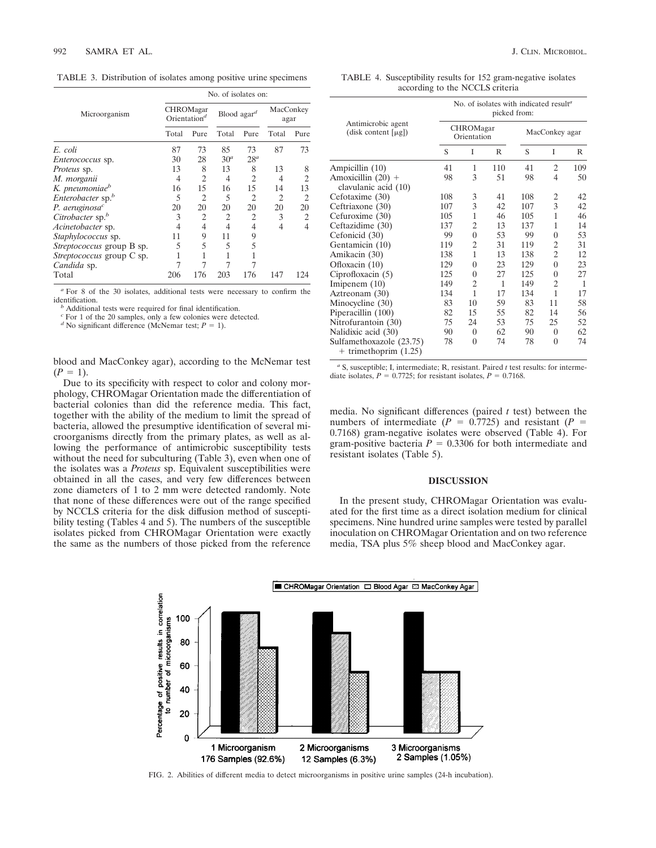TABLE 3. Distribution of isolates among positive urine specimens

|                               |       | No. of isolates on:                             |                 |                                                                                                                                                                 |       |                   |  |  |  |
|-------------------------------|-------|-------------------------------------------------|-----------------|-----------------------------------------------------------------------------------------------------------------------------------------------------------------|-------|-------------------|--|--|--|
| Microorganism                 |       | <b>CHROMagar</b><br>$O$ rientation <sup>d</sup> |                 | Blood agar <sup>d</sup>                                                                                                                                         |       | MacConkey<br>agar |  |  |  |
|                               | Total | Pure                                            | Total           | Pure                                                                                                                                                            | Total | Pure              |  |  |  |
| E. coli                       | 87    | 73                                              | 85              | 73                                                                                                                                                              | 87    | 73                |  |  |  |
| <i>Enterococcus</i> sp.       | 30    | 28                                              | 30 <sup>a</sup> | $28^a$                                                                                                                                                          |       |                   |  |  |  |
| <i>Proteus</i> sp.            | 13    | 8                                               | 13              | 8                                                                                                                                                               | 13    | 8                 |  |  |  |
| M. morganii                   | 4     | $\overline{c}$                                  | 4               | 2                                                                                                                                                               | 4     | 2                 |  |  |  |
| K. pneumoniae <sup>b</sup>    | 16    | 15                                              | 16              | 15                                                                                                                                                              | 14    | 13                |  |  |  |
| Enterobacter sp. <sup>b</sup> | 5     | 2                                               | 5               | $\mathcal{D}_{\mathcal{A}}^{\mathcal{A}}(\mathcal{A})=\mathcal{D}_{\mathcal{A}}^{\mathcal{A}}(\mathcal{A})\mathcal{D}_{\mathcal{A}}^{\mathcal{A}}(\mathcal{A})$ | 2     | $\overline{c}$    |  |  |  |
| P. aeruginosa $^c$            | 20    | 20                                              | 20              | 20                                                                                                                                                              | 20    | 20                |  |  |  |
| Citrobacter sp. <sup>b</sup>  | 3     | 2                                               | $\overline{c}$  | $\overline{c}$                                                                                                                                                  | 3     | 2                 |  |  |  |
| Acinetobacter sp.             | 4     | 4                                               | 4               | 4                                                                                                                                                               | 4     | 4                 |  |  |  |
| Staphylococcus sp.            | 11    | 9                                               | 11              | 9                                                                                                                                                               |       |                   |  |  |  |
| Streptococcus group B sp.     | 5     | 5                                               | 5               | 5                                                                                                                                                               |       |                   |  |  |  |
| Streptococcus group C sp.     |       |                                                 |                 |                                                                                                                                                                 |       |                   |  |  |  |
| Candida sp.                   |       |                                                 |                 |                                                                                                                                                                 |       |                   |  |  |  |
| Total                         | 206   | 176                                             | 203             | 176                                                                                                                                                             | 147   | 124               |  |  |  |

<sup>a</sup> For 8 of the 30 isolates, additional tests were necessary to confirm the identification.

<sup>*b*</sup> Additional tests were required for final identification.

*<sup>c</sup>* For 1 of the 20 samples, only a few colonies were detected.

*d* No significant difference (McNemar test;  $P = 1$ ).

blood and MacConkey agar), according to the McNemar test  $(P = 1)$ .

Due to its specificity with respect to color and colony morphology, CHROMagar Orientation made the differentiation of bacterial colonies than did the reference media. This fact, together with the ability of the medium to limit the spread of bacteria, allowed the presumptive identification of several microorganisms directly from the primary plates, as well as allowing the performance of antimicrobic susceptibility tests without the need for subculturing (Table 3), even when one of the isolates was a *Proteus* sp. Equivalent susceptibilities were obtained in all the cases, and very few differences between zone diameters of 1 to 2 mm were detected randomly. Note that none of these differences were out of the range specified by NCCLS criteria for the disk diffusion method of susceptibility testing (Tables 4 and 5). The numbers of the susceptible isolates picked from CHROMagar Orientation were exactly the same as the numbers of those picked from the reference

TABLE 4. Susceptibility results for 152 gram-negative isolates according to the NCCLS criteria

|                                                       | No. of isolates with indicated result <sup>a</sup><br>picked from: |                          |     |                |                |              |  |  |
|-------------------------------------------------------|--------------------------------------------------------------------|--------------------------|-----|----------------|----------------|--------------|--|--|
| Antimicrobic agent<br>(disk content $[\mu g]$ )       |                                                                    | CHROMagar<br>Orientation |     | MacConkey agar |                |              |  |  |
|                                                       | S                                                                  | T                        | R   | S              | T              | R            |  |  |
| Ampicillin (10)                                       | 41                                                                 | 1                        | 110 | 41             | $\overline{c}$ | 109          |  |  |
| Amoxicillin $(20)$ +<br>clavulanic acid (10)          | 98                                                                 | 3                        | 51  | 98             | 4              | 50           |  |  |
| Cefotaxime (30)                                       | 108                                                                | 3                        | 41  | 108            | 2              | 42           |  |  |
| Ceftriaxone (30)                                      | 107                                                                | 3                        | 42  | 107            | 3              | 42           |  |  |
| Cefuroxime (30)                                       | 105                                                                | 1                        | 46  | 105            | 1              | 46           |  |  |
| Ceftazidime (30)                                      | 137                                                                | 2                        | 13  | 137            | 1              | 14           |  |  |
| Cefonicid (30)                                        | 99                                                                 | $\theta$                 | 53  | 99             | $\overline{0}$ | 53           |  |  |
| Gentamicin (10)                                       | 119                                                                | 2                        | 31  | 119            | 2              | 31           |  |  |
| Amikacin (30)                                         | 138                                                                | 1                        | 13  | 138            | $\overline{c}$ | 12           |  |  |
| Ofloxacin (10)                                        | 129                                                                | $\theta$                 | 23  | 129            | $\theta$       | 23           |  |  |
| Ciprofloxacin $(5)$                                   | 125                                                                | $\Omega$                 | 27  | 125            | $\theta$       | 27           |  |  |
| Imiperem $(10)$                                       | 149                                                                | $\overline{c}$           | 1   | 149            | $\overline{c}$ | $\mathbf{1}$ |  |  |
| Aztreonam (30)                                        | 134                                                                | 1                        | 17  | 134            | 1              | 17           |  |  |
| Minocycline (30)                                      | 83                                                                 | 10                       | 59  | 83             | 11             | 58           |  |  |
| Piperacillin (100)                                    | 82                                                                 | 15                       | 55  | 82             | 14             | 56           |  |  |
| Nitrofurantoin (30)                                   | 75                                                                 | 24                       | 53  | 75             | 25             | 52           |  |  |
| Nalidixic acid (30)                                   | 90                                                                 | $\theta$                 | 62  | 90             | $\theta$       | 62           |  |  |
| Sulfamethoxazole (23.75)<br>$+$ trimethoprim $(1.25)$ | 78                                                                 | $\theta$                 | 74  | 78             | $\theta$       | 74           |  |  |

*<sup>a</sup>* S, susceptible; I, intermediate; R, resistant. Paired *t* test results: for intermediate isolates,  $P = 0.7725$ ; for resistant isolates,  $P = 0.7168$ .

media. No significant differences (paired *t* test) between the numbers of intermediate ( $P = 0.7725$ ) and resistant ( $P = 0$ 0.7168) gram-negative isolates were observed (Table 4). For gram-positive bacteria  $P = 0.3306$  for both intermediate and resistant isolates (Table 5).

#### **DISCUSSION**

In the present study, CHROMagar Orientation was evaluated for the first time as a direct isolation medium for clinical specimens. Nine hundred urine samples were tested by parallel inoculation on CHROMagar Orientation and on two reference media, TSA plus 5% sheep blood and MacConkey agar.



FIG. 2. Abilities of different media to detect microorganisms in positive urine samples (24-h incubation).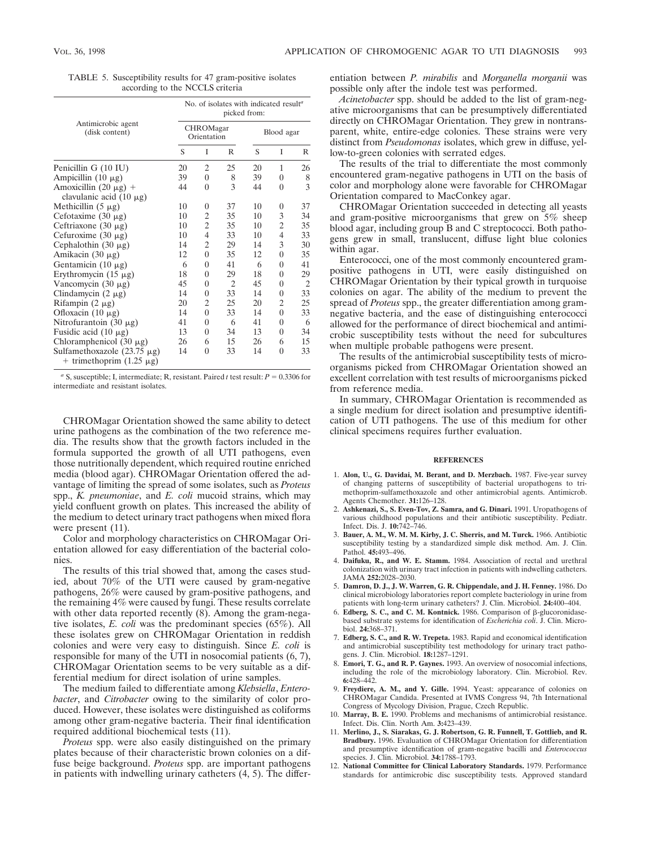|  | TABLE 5. Susceptibility results for 47 gram-positive isolates |
|--|---------------------------------------------------------------|
|  | according to the NCCLS criteria                               |

|                                                                   | No. of isolates with indicated result <sup>a</sup><br>picked from: |                          |                |            |                |    |  |
|-------------------------------------------------------------------|--------------------------------------------------------------------|--------------------------|----------------|------------|----------------|----|--|
| Antimicrobic agent<br>(disk content)                              |                                                                    | CHROMagar<br>Orientation |                | Blood agar |                |    |  |
|                                                                   | S                                                                  | T                        | R              | S          | T              | R  |  |
| Penicillin G (10 IU)                                              | 20                                                                 | $\overline{2}$           | 25             | 20         | 1              | 26 |  |
| Ampicillin $(10 \mu g)$                                           | 39                                                                 | $\theta$                 | 8              | 39         | $\theta$       | 8  |  |
| Amoxicillin $(20 \mu g)$ +<br>clavulanic acid $(10 \mu g)$        | 44                                                                 | $\overline{0}$           | 3              | 44         | $\theta$       | 3  |  |
| Methicillin $(5 \mu g)$                                           | 10                                                                 | 0                        | 37             | 10         | $\Omega$       | 37 |  |
| Cefotaxime $(30 \mu g)$                                           | 10                                                                 | 2                        | 35             | 10         | 3              | 34 |  |
| Ceftriaxone $(30 \mu g)$                                          | 10                                                                 | $\overline{c}$           | 35             | 10         | 2              | 35 |  |
| Cefuroxime $(30 \mu g)$                                           | 10                                                                 | 4                        | 33             | 10         | $\overline{4}$ | 33 |  |
| Cephalothin $(30 \mu g)$                                          | 14                                                                 | 2                        | 29             | 14         | 3              | 30 |  |
| Amikacin $(30 \mu g)$                                             | 12                                                                 | $\overline{0}$           | 35             | 12         | $\theta$       | 35 |  |
| Gentamicin $(10 \mu g)$                                           | 6                                                                  | 0                        | 41             | 6          | $\theta$       | 41 |  |
| Erythromycin $(15 \mu g)$                                         | 18                                                                 | 0                        | 29             | 18         | $\theta$       | 29 |  |
| Vancomycin $(30 \mu g)$                                           | 45                                                                 | $\overline{0}$           | $\overline{c}$ | 45         | $\theta$       | 2  |  |
| Clindamycin $(2 \mu g)$                                           | 14                                                                 | 0                        | 33             | 14         | $\theta$       | 33 |  |
| Rifampin $(2 \mu g)$                                              | 20                                                                 | 2                        | 25             | 20         | 2              | 25 |  |
| Ofloxacin $(10 \mu g)$                                            | 14                                                                 | $\theta$                 | 33             | 14         | $\Omega$       | 33 |  |
| Nitrofurantoin $(30 \mu g)$                                       | 41                                                                 | 0                        | 6              | 41         | $\theta$       | 6  |  |
| Fusidic acid $(10 \mu g)$                                         | 13                                                                 | $\theta$                 | 34             | 13         | $\theta$       | 34 |  |
| Chloramphenicol $(30 \mu g)$                                      | 26                                                                 | 6                        | 15             | 26         | 6              | 15 |  |
| Sulfamethoxazole $(23.75 \mu g)$<br>+ trimethoprim $(1.25 \mu g)$ | 14                                                                 | $\theta$                 | 33             | 14         | $\Omega$       | 33 |  |

<sup>&</sup>lt;sup>*a*</sup> S, susceptible; I, intermediate; R, resistant. Paired *t* test result:  $P = 0.3306$  for intermediate and resistant isolates.

CHROMagar Orientation showed the same ability to detect urine pathogens as the combination of the two reference media. The results show that the growth factors included in the formula supported the growth of all UTI pathogens, even those nutritionally dependent, which required routine enriched media (blood agar). CHROMagar Orientation offered the advantage of limiting the spread of some isolates, such as *Proteus* spp., *K. pneumoniae*, and *E. coli* mucoid strains, which may yield confluent growth on plates. This increased the ability of the medium to detect urinary tract pathogens when mixed flora were present  $(11)$ .

Color and morphology characteristics on CHROMagar Orientation allowed for easy differentiation of the bacterial colonies.

The results of this trial showed that, among the cases studied, about 70% of the UTI were caused by gram-negative pathogens, 26% were caused by gram-positive pathogens, and the remaining 4% were caused by fungi. These results correlate with other data reported recently (8). Among the gram-negative isolates, *E. coli* was the predominant species (65%). All these isolates grew on CHROMagar Orientation in reddish colonies and were very easy to distinguish. Since *E. coli* is responsible for many of the UTI in nosocomial patients (6, 7), CHROMagar Orientation seems to be very suitable as a differential medium for direct isolation of urine samples.

The medium failed to differentiate among *Klebsiella*, *Enterobacter*, and *Citrobacter* owing to the similarity of color produced. However, these isolates were distinguished as coliforms among other gram-negative bacteria. Their final identification required additional biochemical tests (11).

*Proteus* spp. were also easily distinguished on the primary plates because of their characteristic brown colonies on a diffuse beige background. *Proteus* spp. are important pathogens in patients with indwelling urinary catheters (4, 5). The differentiation between *P. mirabilis* and *Morganella morganii* was possible only after the indole test was performed.

*Acinetobacter* spp. should be added to the list of gram-negative microorganisms that can be presumptively differentiated directly on CHROMagar Orientation. They grew in nontransparent, white, entire-edge colonies. These strains were very distinct from *Pseudomonas* isolates, which grew in diffuse, yellow-to-green colonies with serrated edges.

The results of the trial to differentiate the most commonly encountered gram-negative pathogens in UTI on the basis of color and morphology alone were favorable for CHROMagar Orientation compared to MacConkey agar.

CHROMagar Orientation succeeded in detecting all yeasts and gram-positive microorganisms that grew on 5% sheep blood agar, including group B and C streptococci. Both pathogens grew in small, translucent, diffuse light blue colonies within agar.

Enterococci, one of the most commonly encountered grampositive pathogens in UTI, were easily distinguished on CHROMagar Orientation by their typical growth in turquoise colonies on agar. The ability of the medium to prevent the spread of *Proteus* spp., the greater differentiation among gramnegative bacteria, and the ease of distinguishing enterococci allowed for the performance of direct biochemical and antimicrobic susceptibility tests without the need for subcultures when multiple probable pathogens were present.

The results of the antimicrobial susceptibility tests of microorganisms picked from CHROMagar Orientation showed an excellent correlation with test results of microorganisms picked from reference media.

In summary, CHROMagar Orientation is recommended as a single medium for direct isolation and presumptive identification of UTI pathogens. The use of this medium for other clinical specimens requires further evaluation.

#### **REFERENCES**

- 1. **Alon, U., G. Davidai, M. Berant, and D. Merzbach.** 1987. Five-year survey of changing patterns of susceptibility of bacterial uropathogens to trimethoprim-sulfamethoxazole and other antimicrobial agents. Antimicrob. Agents Chemother. **31:**126–128.
- 2. **Ashkenazi, S., S. Even-Tov, Z. Samra, and G. Dinari.** 1991. Uropathogens of various childhood populations and their antibiotic susceptibility. Pediatr. Infect. Dis. J. **10:**742–746.
- 3. **Bauer, A. M., W. M. M. Kirby, J. C. Sherris, and M. Turck.** 1966. Antibiotic susceptibility testing by a standardized simple disk method. Am. J. Clin. Pathol. **45:**493–496.
- 4. **Daifuku, R., and W. E. Stamm.** 1984. Association of rectal and urethral colonization with urinary tract infection in patients with indwelling catheters. JAMA **252:**2028–2030.
- 5. **Damron, D. J., J. W. Warren, G. R. Chippendale, and J. H. Fenney.** 1986. Do clinical microbiology laboratories report complete bacteriology in urine from patients with long-term urinary catheters? J. Clin. Microbiol. **24:**400–404.
- 6. **Edberg, S. C., and C. M. Kontnick.** 1986. Comparison of b-glucoronidasebased substrate systems for identification of *Escherichia coli*. J. Clin. Microbiol. **24:**368–371.
- 7. **Edberg, S. C., and R. W. Trepeta.** 1983. Rapid and economical identification and antimicrobial susceptibility test methodology for urinary tract pathogens. J. Clin. Microbiol. **18:**1287–1291.
- 8. **Emori, T. G., and R. P. Gaynes.** 1993. An overview of nosocomial infections, including the role of the microbiology laboratory. Clin. Microbiol. Rev. **6:**428–442.
- 9. **Freydiere, A. M., and Y. Gille.** 1994. Yeast: appearance of colonies on CHROMagar Candida. Presented at IVMS Congress 94, 7th International Congress of Mycology Division, Prague, Czech Republic.
- 10. **Marray, B. E.** 1990. Problems and mechanisms of antimicrobial resistance. Infect. Dis. Clin. North Am. **3:**423–439.
- 11. **Merlino, J., S. Siarakas, G. J. Robertson, G. R. Funnell, T. Gottlieb, and R. Bradbury.** 1996. Evaluation of CHROMagar Orientation for differentiation and presumptive identification of gram-negative bacilli and *Enterococcus* species. J. Clin. Microbiol. **34:**1788–1793.
- 12. **National Committee for Clinical Laboratory Standards.** 1979. Performance standards for antimicrobic disc susceptibility tests. Approved standard